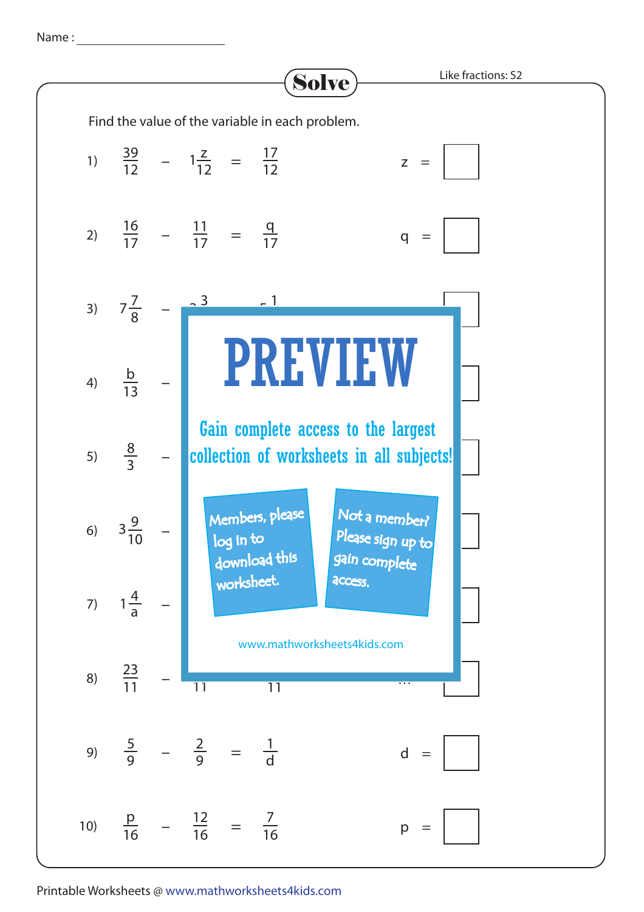